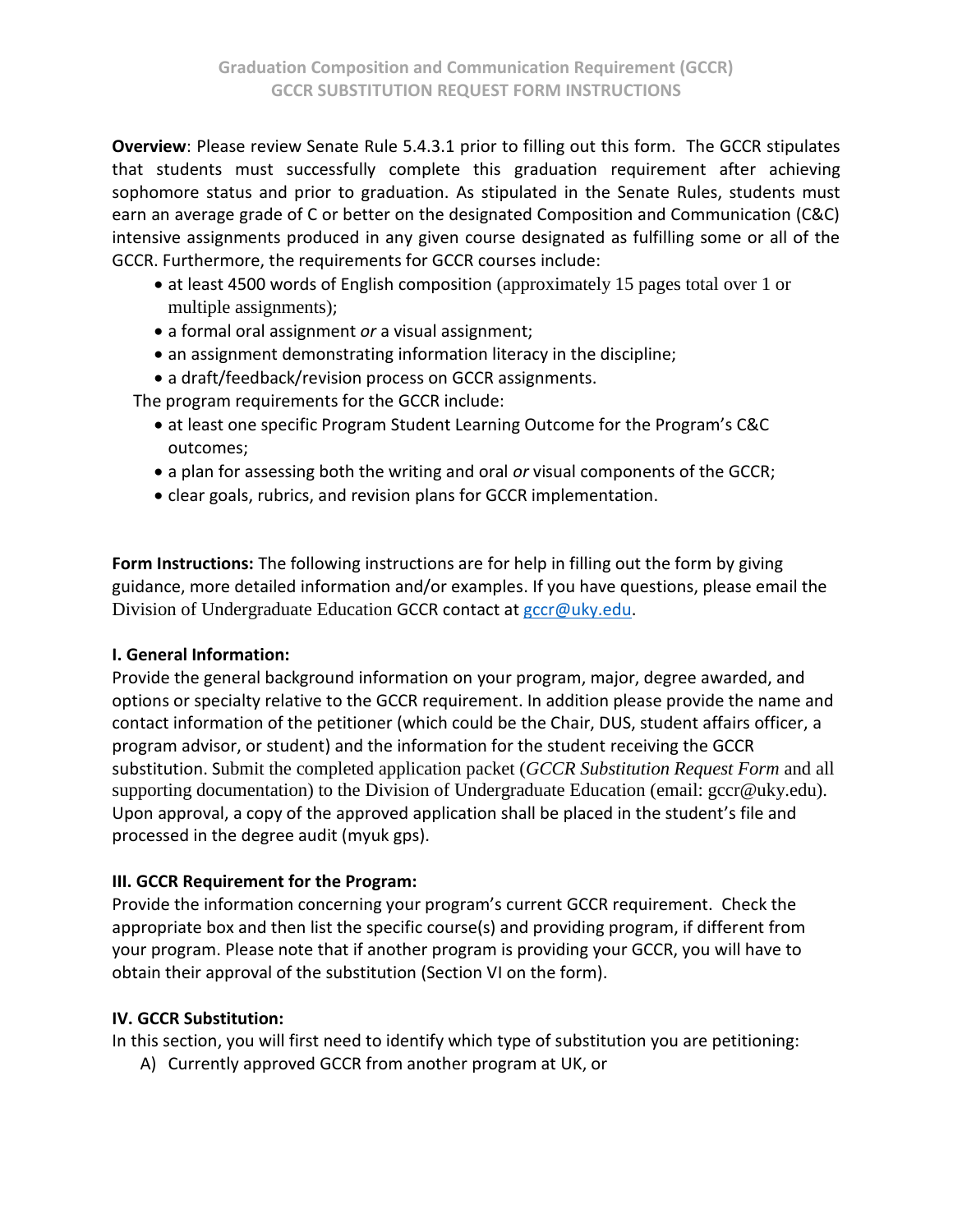**Overview**: Please review Senate Rule 5.4.3.1 prior to filling out this form. The GCCR stipulates that students must successfully complete this graduation requirement after achieving sophomore status and prior to graduation. As stipulated in the Senate Rules, students must earn an average grade of C or better on the designated Composition and Communication (C&C) intensive assignments produced in any given course designated as fulfilling some or all of the GCCR. Furthermore, the requirements for GCCR courses include:

- at least 4500 words of English composition (approximately 15 pages total over 1 or multiple assignments);
- a formal oral assignment *or* a visual assignment;
- an assignment demonstrating information literacy in the discipline;
- a draft/feedback/revision process on GCCR assignments.

The program requirements for the GCCR include:

- at least one specific Program Student Learning Outcome for the Program's C&C outcomes;
- a plan for assessing both the writing and oral *or* visual components of the GCCR;
- clear goals, rubrics, and revision plans for GCCR implementation.

**Form Instructions:** The following instructions are for help in filling out the form by giving guidance, more detailed information and/or examples. If you have questions, please email the Division of Undergraduate Education GCCR contact at [gccr@uky.edu.](mailto:gccr@uky.edu)

### **I. General Information:**

Provide the general background information on your program, major, degree awarded, and options or specialty relative to the GCCR requirement. In addition please provide the name and contact information of the petitioner (which could be the Chair, DUS, student affairs officer, a program advisor, or student) and the information for the student receiving the GCCR substitution. Submit the completed application packet (*GCCR Substitution Request Form* and all supporting documentation) to the Division of Undergraduate Education (email: gccr@uky.edu). Upon approval, a copy of the approved application shall be placed in the student's file and processed in the degree audit (myuk gps).

### **III. GCCR Requirement for the Program:**

Provide the information concerning your program's current GCCR requirement. Check the appropriate box and then list the specific course(s) and providing program, if different from your program. Please note that if another program is providing your GCCR, you will have to obtain their approval of the substitution (Section VI on the form).

### **IV. GCCR Substitution:**

In this section, you will first need to identify which type of substitution you are petitioning:

A) Currently approved GCCR from another program at UK, or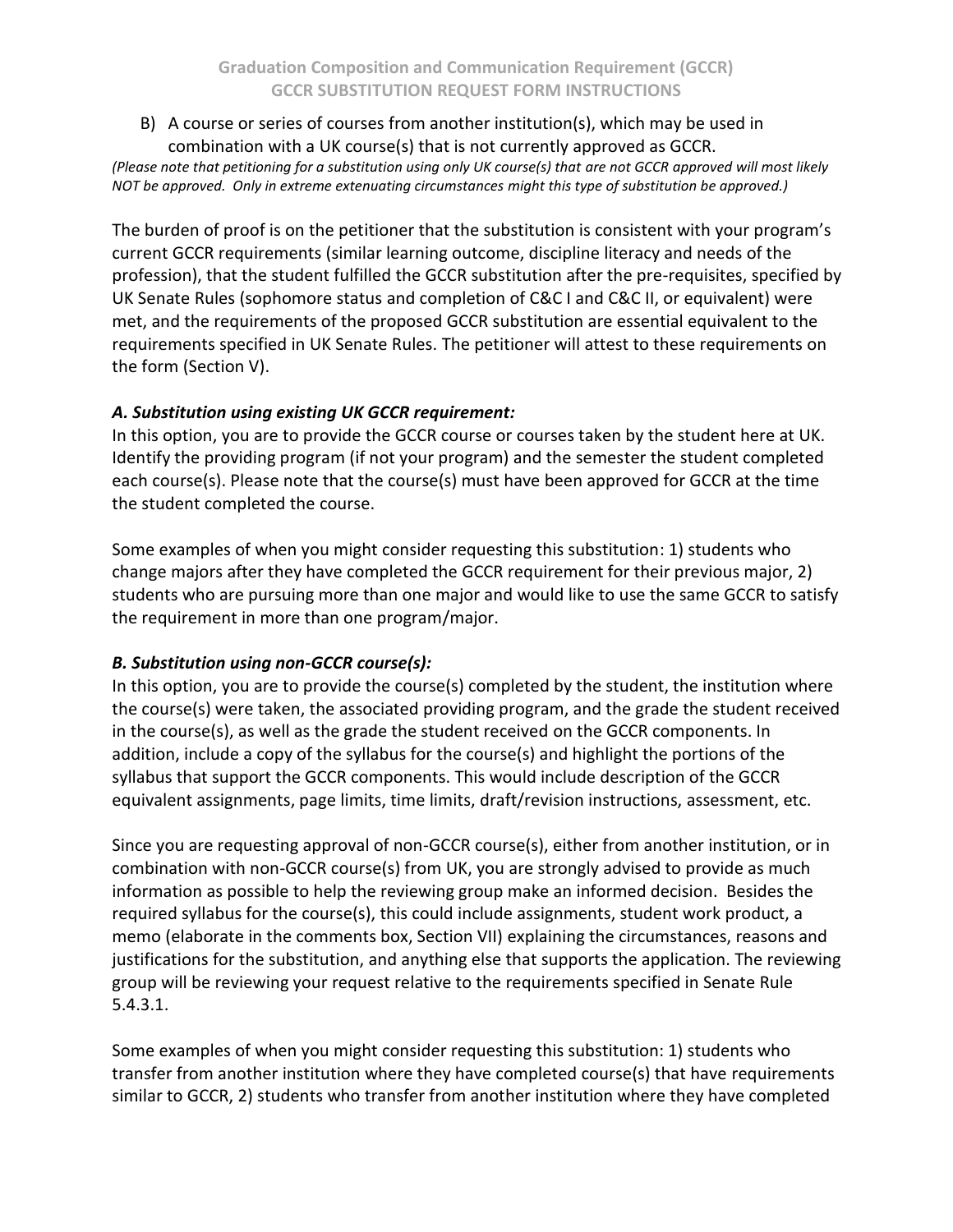B) A course or series of courses from another institution(s), which may be used in combination with a UK course(s) that is not currently approved as GCCR.

*(Please note that petitioning for a substitution using only UK course(s) that are not GCCR approved will most likely NOT be approved. Only in extreme extenuating circumstances might this type of substitution be approved.)*

The burden of proof is on the petitioner that the substitution is consistent with your program's current GCCR requirements (similar learning outcome, discipline literacy and needs of the profession), that the student fulfilled the GCCR substitution after the pre-requisites, specified by UK Senate Rules (sophomore status and completion of C&C I and C&C II, or equivalent) were met, and the requirements of the proposed GCCR substitution are essential equivalent to the requirements specified in UK Senate Rules. The petitioner will attest to these requirements on the form (Section V).

### *A. Substitution using existing UK GCCR requirement:*

In this option, you are to provide the GCCR course or courses taken by the student here at UK. Identify the providing program (if not your program) and the semester the student completed each course(s). Please note that the course(s) must have been approved for GCCR at the time the student completed the course.

Some examples of when you might consider requesting this substitution: 1) students who change majors after they have completed the GCCR requirement for their previous major, 2) students who are pursuing more than one major and would like to use the same GCCR to satisfy the requirement in more than one program/major.

# *B. Substitution using non-GCCR course(s):*

In this option, you are to provide the course(s) completed by the student, the institution where the course(s) were taken, the associated providing program, and the grade the student received in the course(s), as well as the grade the student received on the GCCR components. In addition, include a copy of the syllabus for the course(s) and highlight the portions of the syllabus that support the GCCR components. This would include description of the GCCR equivalent assignments, page limits, time limits, draft/revision instructions, assessment, etc.

Since you are requesting approval of non-GCCR course(s), either from another institution, or in combination with non-GCCR course(s) from UK, you are strongly advised to provide as much information as possible to help the reviewing group make an informed decision. Besides the required syllabus for the course(s), this could include assignments, student work product, a memo (elaborate in the comments box, Section VII) explaining the circumstances, reasons and justifications for the substitution, and anything else that supports the application. The reviewing group will be reviewing your request relative to the requirements specified in Senate Rule 5.4.3.1.

Some examples of when you might consider requesting this substitution: 1) students who transfer from another institution where they have completed course(s) that have requirements similar to GCCR, 2) students who transfer from another institution where they have completed